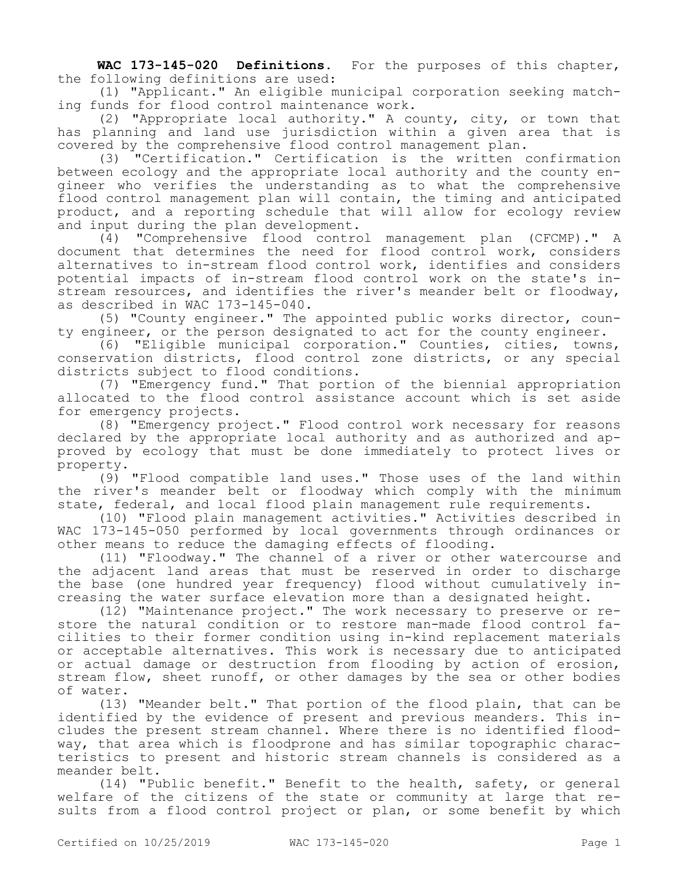**WAC 173-145-020 Definitions.** For the purposes of this chapter, the following definitions are used:

(1) "Applicant." An eligible municipal corporation seeking matching funds for flood control maintenance work.

(2) "Appropriate local authority." A county, city, or town that has planning and land use jurisdiction within a given area that is covered by the comprehensive flood control management plan.

(3) "Certification." Certification is the written confirmation between ecology and the appropriate local authority and the county engineer who verifies the understanding as to what the comprehensive flood control management plan will contain, the timing and anticipated product, and a reporting schedule that will allow for ecology review and input during the plan development.

(4) "Comprehensive flood control management plan (CFCMP)." A document that determines the need for flood control work, considers alternatives to in-stream flood control work, identifies and considers potential impacts of in-stream flood control work on the state's instream resources, and identifies the river's meander belt or floodway, as described in WAC 173-145-040.

(5) "County engineer." The appointed public works director, county engineer, or the person designated to act for the county engineer.

(6) "Eligible municipal corporation." Counties, cities, towns, conservation districts, flood control zone districts, or any special districts subject to flood conditions.

(7) "Emergency fund." That portion of the biennial appropriation allocated to the flood control assistance account which is set aside for emergency projects.

(8) "Emergency project." Flood control work necessary for reasons declared by the appropriate local authority and as authorized and approved by ecology that must be done immediately to protect lives or property.

(9) "Flood compatible land uses." Those uses of the land within the river's meander belt or floodway which comply with the minimum state, federal, and local flood plain management rule requirements.

(10) "Flood plain management activities." Activities described in WAC 173-145-050 performed by local governments through ordinances or other means to reduce the damaging effects of flooding.

(11) "Floodway." The channel of a river or other watercourse and the adjacent land areas that must be reserved in order to discharge the base (one hundred year frequency) flood without cumulatively increasing the water surface elevation more than a designated height.

(12) "Maintenance project." The work necessary to preserve or restore the natural condition or to restore man-made flood control facilities to their former condition using in-kind replacement materials or acceptable alternatives. This work is necessary due to anticipated or actual damage or destruction from flooding by action of erosion, stream flow, sheet runoff, or other damages by the sea or other bodies of water.

(13) "Meander belt." That portion of the flood plain, that can be identified by the evidence of present and previous meanders. This includes the present stream channel. Where there is no identified floodway, that area which is floodprone and has similar topographic characteristics to present and historic stream channels is considered as a meander belt.

(14) "Public benefit." Benefit to the health, safety, or general welfare of the citizens of the state or community at large that results from a flood control project or plan, or some benefit by which